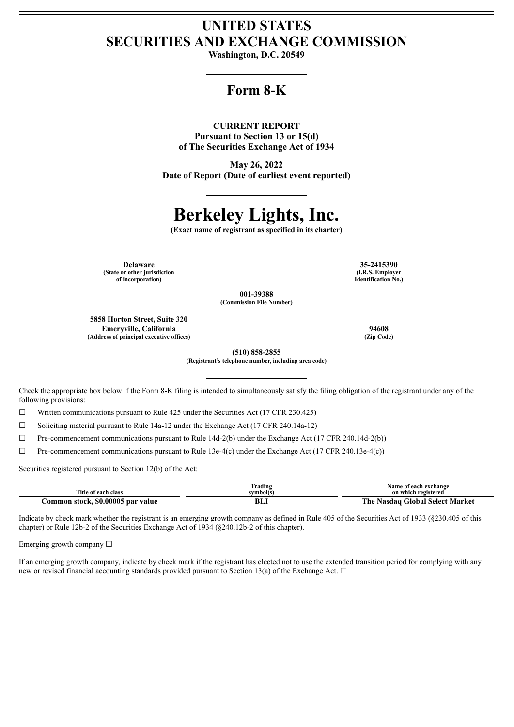## **UNITED STATES SECURITIES AND EXCHANGE COMMISSION**

**Washington, D.C. 20549**

### **Form 8-K**

#### **CURRENT REPORT**

**Pursuant to Section 13 or 15(d) of The Securities Exchange Act of 1934**

**May 26, 2022 Date of Report (Date of earliest event reported)**

# **Berkeley Lights, Inc.**

**(Exact name of registrant as specified in its charter)**

**(State or other jurisdiction of incorporation)**

**Delaware 35-2415390 (I.R.S. Employer Identification No.)**

> **001-39388 (Commission File Number)**

**5858 Horton Street, Suite 320 Emeryville, California 94608 (Address of principal executive offices) (Zip Code)**

**(510) 858-2855 (Registrant's telephone number, including area code)**

Check the appropriate box below if the Form 8-K filing is intended to simultaneously satisfy the filing obligation of the registrant under any of the following provisions:

 $\Box$  Written communications pursuant to Rule 425 under the Securities Act (17 CFR 230.425)

☐ Soliciting material pursuant to Rule 14a-12 under the Exchange Act (17 CFR 240.14a-12)

 $\Box$  Pre-commencement communications pursuant to Rule 14d-2(b) under the Exchange Act (17 CFR 240.14d-2(b))

 $\Box$  Pre-commencement communications pursuant to Rule 13e-4(c) under the Exchange Act (17 CFR 240.13e-4(c))

Securities registered pursuant to Section 12(b) of the Act:

|                                   | Trading   | Name of each exchange                  |
|-----------------------------------|-----------|----------------------------------------|
| Title of each class               | svmbol(s` | on which registered                    |
| Common stock, \$0.00005 par value | BLI       | e Nasdag Global Select Market<br>The . |

Indicate by check mark whether the registrant is an emerging growth company as defined in Rule 405 of the Securities Act of 1933 (§230.405 of this chapter) or Rule 12b-2 of the Securities Exchange Act of 1934 (§240.12b-2 of this chapter).

Emerging growth company  $\Box$ 

If an emerging growth company, indicate by check mark if the registrant has elected not to use the extended transition period for complying with any new or revised financial accounting standards provided pursuant to Section 13(a) of the Exchange Act.  $\Box$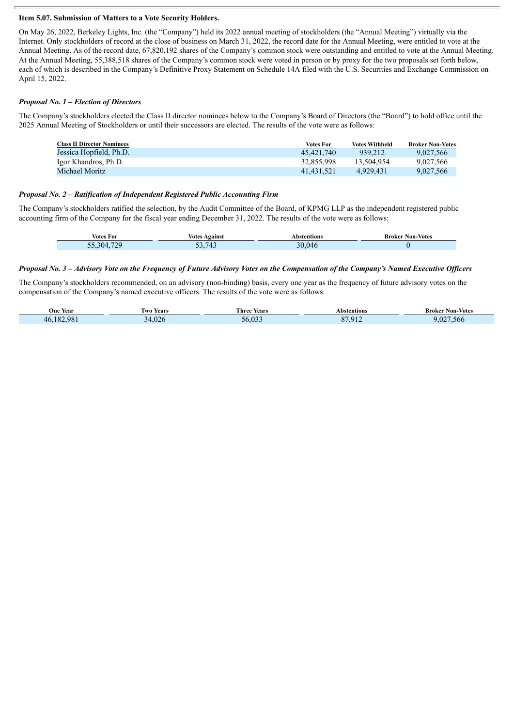#### **Item 5.07. Submission of Matters to a Vote Security Holders.**

On May 26, 2022, Berkeley Lights, Inc. (the "Company") held its 2022 annual meeting of stockholders (the "Annual Meeting") virtually via the Internet. Only stockholders of record at the close of business on March 31, 2022, the record date for the Annual Meeting, were entitled to vote at the Annual Meeting. As of the record date, 67,820,192 shares of the Company's common stock were outstanding and entitled to vote at the Annual Meeting. At the Annual Meeting, 55,388,518 shares of the Company's common stock were voted in person or by proxy for the two proposals set forth below, each of which is described in the Company's Definitive Proxy Statement on Schedule 14A filed with the U.S. Securities and Exchange Commission on April 15, 2022.

#### *Proposal No. 1 – Election of Directors*

The Company's stockholders elected the Class II director nominees below to the Company's Board of Directors (the "Board") to hold office until the 2025 Annual Meeting of Stockholders or until their successors are elected. The results of the vote were as follows:

| <b>Class II Director Nominees</b> | <b>Votes For</b> | <b>Votes Withheld</b> | <b>Broker Non-Votes</b> |
|-----------------------------------|------------------|-----------------------|-------------------------|
| Jessica Hopfield, Ph.D.           | 45.421.740       | 939.212               | 9.027.566               |
| Igor Khandros, Ph.D.              | 32.855.998       | 13.504.954            | 9.027.566               |
| Michael Moritz                    | 41.431.521       | 4.929.431             | 9,027,566               |

#### *Proposal No. 2 – Ratification of Independent Registered Public Accounting Firm*

The Company's stockholders ratified the selection, by the Audit Committee of the Board, of KPMG LLP as the independent registered public accounting firm of the Company for the fiscal year ending December 31, 2022. The results of the vote were as follows:

| Votes For | Votes<br>Against | bstentions\  | <b>Broker Non-Votes</b> |
|-----------|------------------|--------------|-------------------------|
| 729       | .743             | $\mathbf{A}$ |                         |
| 304       | JJ.1             | .046         |                         |

#### Proposal No. 3 - Advisory Vote on the Frequency of Future Advisory Votes on the Compensation of the Company's Named Executive Officers

The Company's stockholders recommended, on an advisory (non-binding) basis, every one year as the frequency of future advisory votes on the compensation of the Company's named executive officers. The results of the vote were as follows:

| One Year        | Years<br>l wo  | Three<br><b>Years</b> | Abstentions | Non-Votes<br>Broker |
|-----------------|----------------|-----------------------|-------------|---------------------|
| 98<br>182<br>46 | $\sim$<br>47 I | $\sqrt{2}$            | n m<br>01'  | $\sim$<br>.566      |